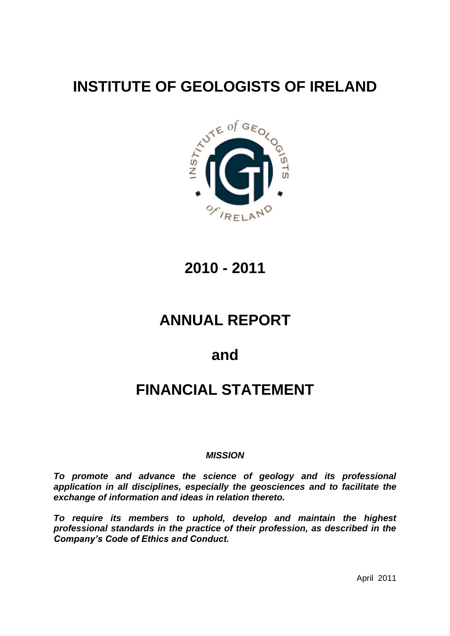# **INSTITUTE OF GEOLOGISTS OF IRELAND**



**2010 - 2011**

# **ANNUAL REPORT**

# **and**

# **FINANCIAL STATEMENT**

#### *MISSION*

*To promote and advance the science of geology and its professional application in all disciplines, especially the geosciences and to facilitate the exchange of information and ideas in relation thereto.*

*To require its members to uphold, develop and maintain the highest professional standards in the practice of their profession, as described in the Company's Code of Ethics and Conduct.*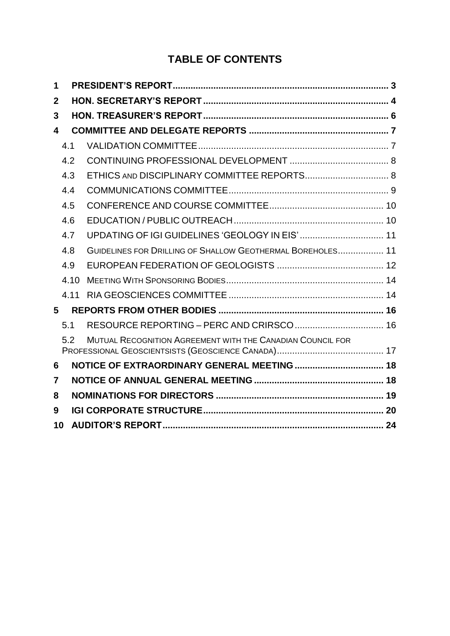# **TABLE OF CONTENTS**

| 1            |      |                                                            |  |
|--------------|------|------------------------------------------------------------|--|
| $\mathbf{2}$ |      |                                                            |  |
| 3            |      |                                                            |  |
| 4            |      |                                                            |  |
|              | 4.1  |                                                            |  |
|              | 4.2  |                                                            |  |
|              | 4.3  |                                                            |  |
|              | 4.4  |                                                            |  |
|              | 4.5  |                                                            |  |
|              | 4.6  |                                                            |  |
|              | 4.7  | UPDATING OF IGI GUIDELINES 'GEOLOGY IN EIS'  11            |  |
|              | 4.8  | GUIDELINES FOR DRILLING OF SHALLOW GEOTHERMAL BOREHOLES 11 |  |
|              | 4.9  |                                                            |  |
|              | 4.10 |                                                            |  |
|              | 4.11 |                                                            |  |
| 5            |      |                                                            |  |
|              | 5.1  |                                                            |  |
|              | 5.2  | MUTUAL RECOGNITION AGREEMENT WITH THE CANADIAN COUNCIL FOR |  |
| 6            |      |                                                            |  |
| 7            |      |                                                            |  |
| 8            |      |                                                            |  |
| 9            |      |                                                            |  |
| 10           |      |                                                            |  |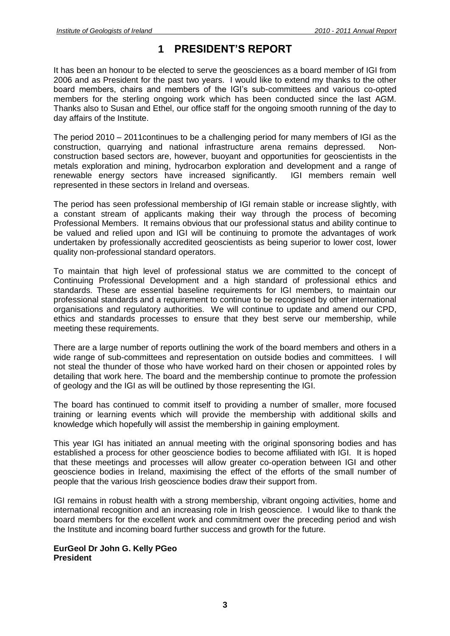## **1 PRESIDENT'S REPORT**

<span id="page-2-0"></span>It has been an honour to be elected to serve the geosciences as a board member of IGI from 2006 and as President for the past two years. I would like to extend my thanks to the other board members, chairs and members of the IGI's sub-committees and various co-opted members for the sterling ongoing work which has been conducted since the last AGM. Thanks also to Susan and Ethel, our office staff for the ongoing smooth running of the day to day affairs of the Institute.

The period 2010 – 2011continues to be a challenging period for many members of IGI as the construction, quarrying and national infrastructure arena remains depressed. Nonconstruction based sectors are, however, buoyant and opportunities for geoscientists in the metals exploration and mining, hydrocarbon exploration and development and a range of renewable energy sectors have increased significantly. IGI members remain well represented in these sectors in Ireland and overseas.

The period has seen professional membership of IGI remain stable or increase slightly, with a constant stream of applicants making their way through the process of becoming Professional Members. It remains obvious that our professional status and ability continue to be valued and relied upon and IGI will be continuing to promote the advantages of work undertaken by professionally accredited geoscientists as being superior to lower cost, lower quality non-professional standard operators.

To maintain that high level of professional status we are committed to the concept of Continuing Professional Development and a high standard of professional ethics and standards. These are essential baseline requirements for IGI members, to maintain our professional standards and a requirement to continue to be recognised by other international organisations and regulatory authorities. We will continue to update and amend our CPD, ethics and standards processes to ensure that they best serve our membership, while meeting these requirements.

There are a large number of reports outlining the work of the board members and others in a wide range of sub-committees and representation on outside bodies and committees. I will not steal the thunder of those who have worked hard on their chosen or appointed roles by detailing that work here. The board and the membership continue to promote the profession of geology and the IGI as will be outlined by those representing the IGI.

The board has continued to commit itself to providing a number of smaller, more focused training or learning events which will provide the membership with additional skills and knowledge which hopefully will assist the membership in gaining employment.

This year IGI has initiated an annual meeting with the original sponsoring bodies and has established a process for other geoscience bodies to become affiliated with IGI. It is hoped that these meetings and processes will allow greater co-operation between IGI and other geoscience bodies in Ireland, maximising the effect of the efforts of the small number of people that the various Irish geoscience bodies draw their support from.

IGI remains in robust health with a strong membership, vibrant ongoing activities, home and international recognition and an increasing role in Irish geoscience. I would like to thank the board members for the excellent work and commitment over the preceding period and wish the Institute and incoming board further success and growth for the future.

#### **EurGeol Dr John G. Kelly PGeo President**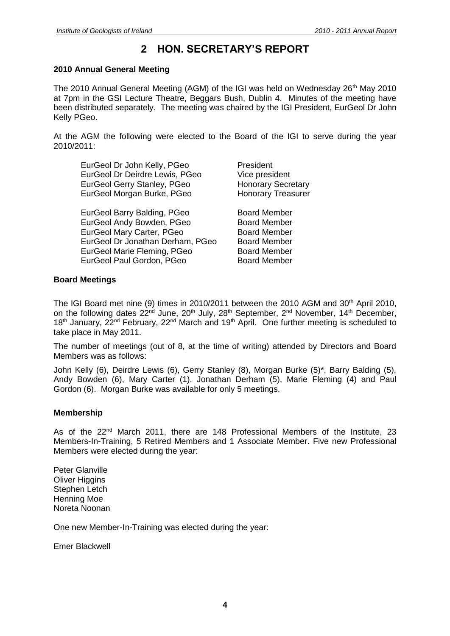## **2 HON. SECRETARY'S REPORT**

#### <span id="page-3-0"></span>**2010 Annual General Meeting**

The 2010 Annual General Meeting (AGM) of the IGI was held on Wednesday 26<sup>th</sup> May 2010 at 7pm in the GSI Lecture Theatre, Beggars Bush, Dublin 4. Minutes of the meeting have been distributed separately. The meeting was chaired by the IGI President, EurGeol Dr John Kelly PGeo.

At the AGM the following were elected to the Board of the IGI to serve during the year 2010/2011:

| EurGeol Dr John Kelly, PGeo                                    | President                                   |
|----------------------------------------------------------------|---------------------------------------------|
| EurGeol Dr Deirdre Lewis, PGeo                                 | Vice president                              |
| EurGeol Gerry Stanley, PGeo                                    | <b>Honorary Secretary</b>                   |
| EurGeol Morgan Burke, PGeo                                     | <b>Honorary Treasurer</b>                   |
| $F_{\text{max}} \cap \mathcal{L} = \mathbf{I} \cap \mathbf{I}$ | <b>D</b> - - - - <b>1 M</b> J - - - 1 - - - |

EurGeol Barry Balding, PGeo Board Member EurGeol Andy Bowden, PGeo Board Member EurGeol Mary Carter, PGeo Board Member EurGeol Dr Jonathan Derham, PGeo Board Member EurGeol Marie Fleming, PGeo Board Member EurGeol Paul Gordon, PGeo Board Member

#### **Board Meetings**

The IGI Board met nine (9) times in 2010/2011 between the 2010 AGM and  $30<sup>th</sup>$  April 2010, on the following dates 22<sup>nd</sup> June, 20<sup>th</sup> July, 28<sup>th</sup> September, 2<sup>nd</sup> November, 14<sup>th</sup> December, 18<sup>th</sup> January, 22<sup>nd</sup> February, 22<sup>nd</sup> March and 19<sup>th</sup> April. One further meeting is scheduled to take place in May 2011.

The number of meetings (out of 8, at the time of writing) attended by Directors and Board Members was as follows:

John Kelly (6), Deirdre Lewis (6), Gerry Stanley (8), Morgan Burke (5)\*, Barry Balding (5), Andy Bowden (6), Mary Carter (1), Jonathan Derham (5), Marie Fleming (4) and Paul Gordon (6). Morgan Burke was available for only 5 meetings.

#### **Membership**

As of the 22<sup>nd</sup> March 2011, there are 148 Professional Members of the Institute, 23 Members-In-Training, 5 Retired Members and 1 Associate Member. Five new Professional Members were elected during the year:

Peter Glanville Oliver Higgins Stephen Letch Henning Moe Noreta Noonan

One new Member-In-Training was elected during the year:

Emer Blackwell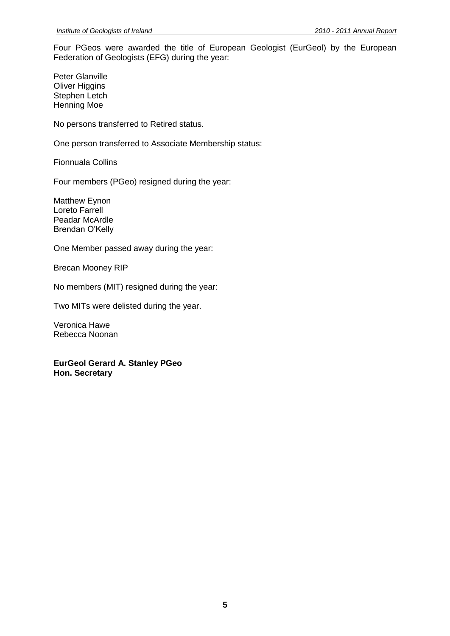Four PGeos were awarded the title of European Geologist (EurGeol) by the European Federation of Geologists (EFG) during the year:

Peter Glanville Oliver Higgins Stephen Letch Henning Moe

No persons transferred to Retired status.

One person transferred to Associate Membership status:

Fionnuala Collins

Four members (PGeo) resigned during the year:

Matthew Eynon Loreto Farrell Peadar McArdle Brendan O'Kelly

One Member passed away during the year:

Brecan Mooney RIP

No members (MIT) resigned during the year:

Two MITs were delisted during the year.

Veronica Hawe Rebecca Noonan

**EurGeol Gerard A. Stanley PGeo Hon. Secretary**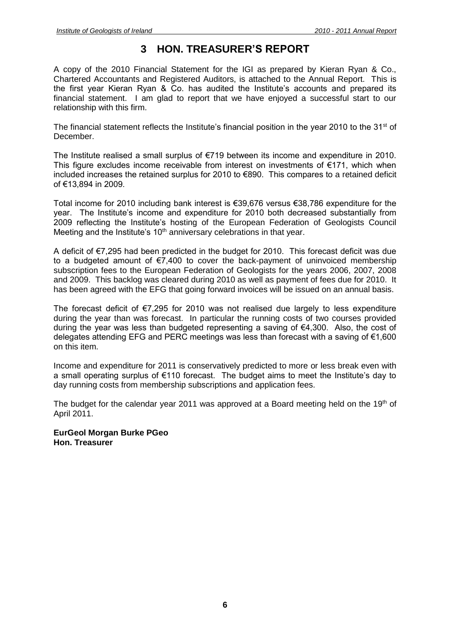## **3 HON. TREASURER'S REPORT**

<span id="page-5-0"></span>A copy of the 2010 Financial Statement for the IGI as prepared by Kieran Ryan & Co., Chartered Accountants and Registered Auditors, is attached to the Annual Report. This is the first year Kieran Ryan & Co. has audited the Institute's accounts and prepared its financial statement. I am glad to report that we have enjoyed a successful start to our relationship with this firm.

The financial statement reflects the Institute's financial position in the year 2010 to the  $31<sup>st</sup>$  of December.

The Institute realised a small surplus of €719 between its income and expenditure in 2010. This figure excludes income receivable from interest on investments of  $E$ 171, which when included increases the retained surplus for 2010 to €890. This compares to a retained deficit of €13,894 in 2009.

Total income for 2010 including bank interest is €39,676 versus €38,786 expenditure for the year. The Institute's income and expenditure for 2010 both decreased substantially from 2009 reflecting the Institute's hosting of the European Federation of Geologists Council Meeting and the Institute's 10<sup>th</sup> anniversary celebrations in that year.

A deficit of €7,295 had been predicted in the budget for 2010. This forecast deficit was due to a budgeted amount of €7,400 to cover the back-payment of uninvoiced membership subscription fees to the European Federation of Geologists for the years 2006, 2007, 2008 and 2009. This backlog was cleared during 2010 as well as payment of fees due for 2010. It has been agreed with the EFG that going forward invoices will be issued on an annual basis.

The forecast deficit of  $\epsilon$ 7,295 for 2010 was not realised due largely to less expenditure during the year than was forecast. In particular the running costs of two courses provided during the year was less than budgeted representing a saving of €4,300. Also, the cost of delegates attending EFG and PERC meetings was less than forecast with a saving of €1,600 on this item.

Income and expenditure for 2011 is conservatively predicted to more or less break even with a small operating surplus of €110 forecast. The budget aims to meet the Institute's day to day running costs from membership subscriptions and application fees.

The budget for the calendar year 2011 was approved at a Board meeting held on the 19th of April 2011.

**EurGeol Morgan Burke PGeo Hon. Treasurer**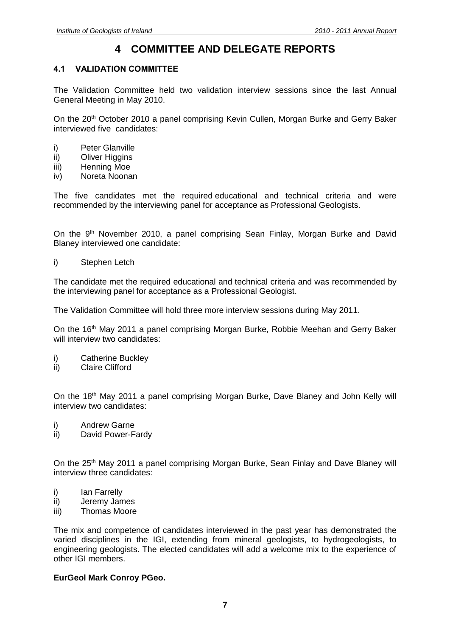## **4 COMMITTEE AND DELEGATE REPORTS**

#### <span id="page-6-1"></span><span id="page-6-0"></span>**4.1 VALIDATION COMMITTEE**

The Validation Committee held two validation interview sessions since the last Annual General Meeting in May 2010.

On the 20<sup>th</sup> October 2010 a panel comprising Kevin Cullen, Morgan Burke and Gerry Baker interviewed five candidates:

- i) Peter Glanville
- ii) Oliver Higgins
- iii) Henning Moe
- iv) Noreta Noonan

The five candidates met the required educational and technical criteria and were recommended by the interviewing panel for acceptance as Professional Geologists.

On the 9<sup>th</sup> November 2010, a panel comprising Sean Finlay, Morgan Burke and David Blaney interviewed one candidate:

i) Stephen Letch

The candidate met the required educational and technical criteria and was recommended by the interviewing panel for acceptance as a Professional Geologist.

The Validation Committee will hold three more interview sessions during May 2011.

On the 16<sup>th</sup> May 2011 a panel comprising Morgan Burke, Robbie Meehan and Gerry Baker will interview two candidates:

- i) Catherine Buckley
- ii) Claire Clifford

On the 18<sup>th</sup> May 2011 a panel comprising Morgan Burke, Dave Blaney and John Kelly will interview two candidates:

- i) Andrew Garne
- ii) David Power-Fardy

On the 25<sup>th</sup> May 2011 a panel comprising Morgan Burke, Sean Finlay and Dave Blaney will interview three candidates:

- i) Ian Farrelly
- ii) Jeremy James
- iii) Thomas Moore

The mix and competence of candidates interviewed in the past year has demonstrated the varied disciplines in the IGI, extending from mineral geologists, to hydrogeologists, to engineering geologists. The elected candidates will add a welcome mix to the experience of other IGI members.

#### **EurGeol Mark Conroy PGeo.**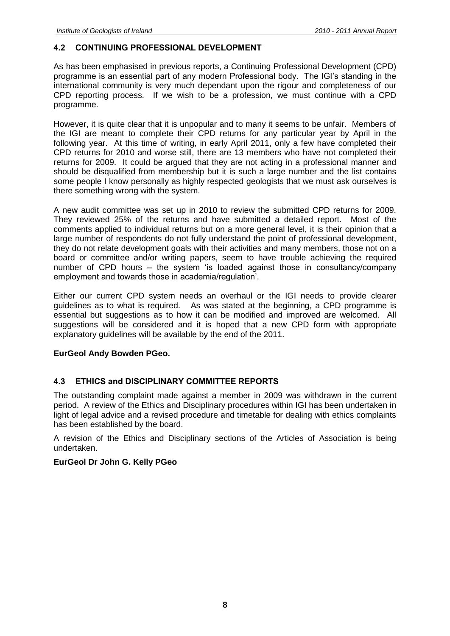#### <span id="page-7-0"></span>**4.2 CONTINUING PROFESSIONAL DEVELOPMENT**

As has been emphasised in previous reports, a Continuing Professional Development (CPD) programme is an essential part of any modern Professional body. The IGI's standing in the international community is very much dependant upon the rigour and completeness of our CPD reporting process. If we wish to be a profession, we must continue with a CPD programme.

However, it is quite clear that it is unpopular and to many it seems to be unfair. Members of the IGI are meant to complete their CPD returns for any particular year by April in the following year. At this time of writing, in early April 2011, only a few have completed their CPD returns for 2010 and worse still, there are 13 members who have not completed their returns for 2009. It could be argued that they are not acting in a professional manner and should be disqualified from membership but it is such a large number and the list contains some people I know personally as highly respected geologists that we must ask ourselves is there something wrong with the system.

A new audit committee was set up in 2010 to review the submitted CPD returns for 2009. They reviewed 25% of the returns and have submitted a detailed report. Most of the comments applied to individual returns but on a more general level, it is their opinion that a large number of respondents do not fully understand the point of professional development, they do not relate development goals with their activities and many members, those not on a board or committee and/or writing papers, seem to have trouble achieving the required number of CPD hours – the system 'is loaded against those in consultancy/company employment and towards those in academia/regulation'.

Either our current CPD system needs an overhaul or the IGI needs to provide clearer guidelines as to what is required. As was stated at the beginning, a CPD programme is essential but suggestions as to how it can be modified and improved are welcomed. All suggestions will be considered and it is hoped that a new CPD form with appropriate explanatory guidelines will be available by the end of the 2011.

#### **EurGeol Andy Bowden PGeo.**

#### <span id="page-7-1"></span>**4.3 ETHICS and DISCIPLINARY COMMITTEE REPORTS**

The outstanding complaint made against a member in 2009 was withdrawn in the current period. A review of the Ethics and Disciplinary procedures within IGI has been undertaken in light of legal advice and a revised procedure and timetable for dealing with ethics complaints has been established by the board.

A revision of the Ethics and Disciplinary sections of the Articles of Association is being undertaken.

#### **EurGeol Dr John G. Kelly PGeo**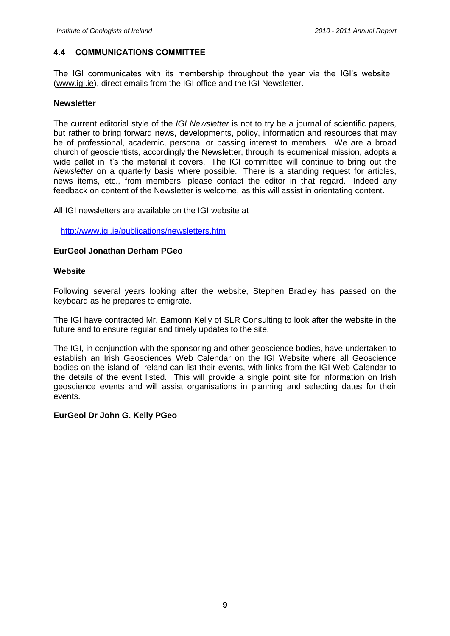#### <span id="page-8-0"></span>**4.4 COMMUNICATIONS COMMITTEE**

The IGI communicates with its membership throughout the year via the IGI's website [\(www.igi.ie\)](http://www.igi.ie/), direct emails from the IGI office and the IGI Newsletter.

#### **Newsletter**

The current editorial style of the *IGI Newsletter* is not to try be a journal of scientific papers, but rather to bring forward news, developments, policy, information and resources that may be of professional, academic, personal or passing interest to members. We are a broad church of geoscientists, accordingly the Newsletter, through its ecumenical mission, adopts a wide pallet in it's the material it covers. The IGI committee will continue to bring out the *Newsletter* on a quarterly basis where possible. There is a standing request for articles, news items, etc., from members: please contact the editor in that regard. Indeed any feedback on content of the Newsletter is welcome, as this will assist in orientating content.

All IGI newsletters are available on the IGI website at

<http://www.igi.ie/publications/newsletters.htm>

#### **EurGeol Jonathan Derham PGeo**

#### **Website**

Following several years looking after the website, Stephen Bradley has passed on the keyboard as he prepares to emigrate.

The IGI have contracted Mr. Eamonn Kelly of SLR Consulting to look after the website in the future and to ensure regular and timely updates to the site.

The IGI, in conjunction with the sponsoring and other geoscience bodies, have undertaken to establish an Irish Geosciences Web Calendar on the IGI Website where all Geoscience bodies on the island of Ireland can list their events, with links from the IGI Web Calendar to the details of the event listed. This will provide a single point site for information on Irish geoscience events and will assist organisations in planning and selecting dates for their events.

#### **EurGeol Dr John G. Kelly PGeo**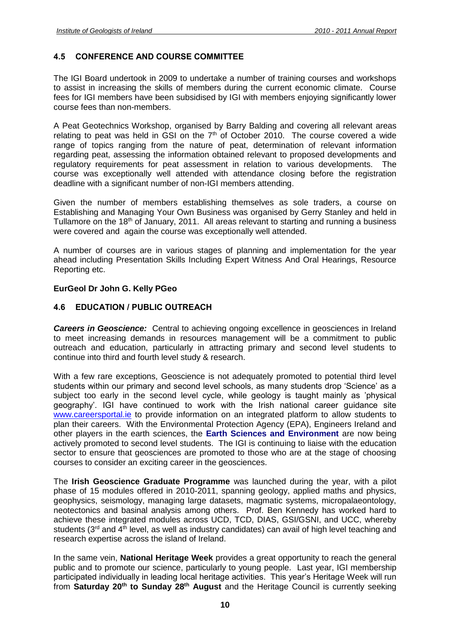#### <span id="page-9-0"></span>**4.5 CONFERENCE AND COURSE COMMITTEE**

The IGI Board undertook in 2009 to undertake a number of training courses and workshops to assist in increasing the skills of members during the current economic climate. Course fees for IGI members have been subsidised by IGI with members enjoying significantly lower course fees than non-members.

A Peat Geotechnics Workshop, organised by Barry Balding and covering all relevant areas relating to peat was held in GSI on the  $7<sup>th</sup>$  of October 2010. The course covered a wide range of topics ranging from the nature of peat, determination of relevant information regarding peat, assessing the information obtained relevant to proposed developments and regulatory requirements for peat assessment in relation to various developments. The course was exceptionally well attended with attendance closing before the registration deadline with a significant number of non-IGI members attending.

Given the number of members establishing themselves as sole traders, a course on Establishing and Managing Your Own Business was organised by Gerry Stanley and held in Tullamore on the 18<sup>th</sup> of January, 2011. All areas relevant to starting and running a business were covered and again the course was exceptionally well attended.

A number of courses are in various stages of planning and implementation for the year ahead including Presentation Skills Including Expert Witness And Oral Hearings, Resource Reporting etc.

#### <span id="page-9-1"></span>**EurGeol Dr John G. Kelly PGeo**

#### **4.6 EDUCATION / PUBLIC OUTREACH**

*Careers in Geoscience:* Central to achieving ongoing excellence in geosciences in Ireland to meet increasing demands in resources management will be a commitment to public outreach and education, particularly in attracting primary and second level students to continue into third and fourth level study & research.

With a few rare exceptions, Geoscience is not adequately promoted to potential third level students within our primary and second level schools, as many students drop 'Science' as a subject too early in the second level cycle, while geology is taught mainly as 'physical geography'. IGI have continued to work with the Irish national career guidance site [www.careersportal.ie](http://www.careersportal.ie/) to provide information on an integrated platform to allow students to plan their careers. With the Environmental Protection Agency (EPA), Engineers Ireland and other players in the earth sciences, the **Earth Sciences and Environment** are now being actively promoted to second level students. The IGI is continuing to liaise with the education sector to ensure that geosciences are promoted to those who are at the stage of choosing courses to consider an exciting career in the geosciences.

The **Irish Geoscience Graduate Programme** was launched during the year, with a pilot phase of 15 modules offered in 2010-2011, spanning geology, applied maths and physics, geophysics, seismology, managing large datasets, magmatic systems, micropalaeontology, neotectonics and basinal analysis among others. Prof. Ben Kennedy has worked hard to achieve these integrated modules across UCD, TCD, DIAS, GSI/GSNI, and UCC, whereby students ( $3<sup>rd</sup>$  and  $4<sup>th</sup>$  level, as well as industry candidates) can avail of high level teaching and research expertise across the island of Ireland.

In the same vein, **National Heritage Week** provides a great opportunity to reach the general public and to promote our science, particularly to young people.Last year, IGI membership participated individually in leading local heritage activities. This year's Heritage Week will run from **Saturday 20th to Sunday 28th August** and the Heritage Council is currently seeking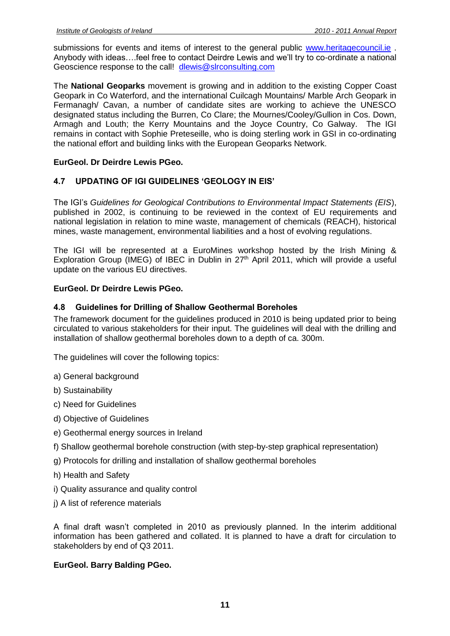submissions for events and items of interest to the general public [www.heritagecouncil.ie](http://www.heritagecouncil.ie/). Anybody with ideas….feel free to contact Deirdre Lewis and we'll try to co-ordinate a national Geoscience response to the call! [dlewis@slrconsulting.com](mailto:dlewis@slrconsulting.com)

The **National Geoparks** movement is growing and in addition to the existing Copper Coast Geopark in Co Waterford, and the international Cuilcagh Mountains/ Marble Arch Geopark in Fermanagh/ Cavan, a number of candidate sites are working to achieve the UNESCO designated status including the Burren, Co Clare; the Mournes/Cooley/Gullion in Cos. Down, Armagh and Louth; the Kerry Mountains and the Joyce Country, Co Galway. The IGI remains in contact with Sophie Preteseille, who is doing sterling work in GSI in co-ordinating the national effort and building links with the European Geoparks Network.

#### **EurGeol. Dr Deirdre Lewis PGeo.**

#### <span id="page-10-0"></span>**4.7 UPDATING OF IGI GUIDELINES 'GEOLOGY IN EIS'**

The IGI's *Guidelines for Geological Contributions to Environmental Impact Statements (EIS*), published in 2002, is continuing to be reviewed in the context of EU requirements and national legislation in relation to mine waste, management of chemicals (REACH), historical mines, waste management, environmental liabilities and a host of evolving regulations.

The IGI will be represented at a EuroMines workshop hosted by the Irish Mining & Exploration Group (IMEG) of IBEC in Dublin in  $27<sup>th</sup>$  April 2011, which will provide a useful update on the various EU directives.

#### <span id="page-10-1"></span>**EurGeol. Dr Deirdre Lewis PGeo.**

#### **4.8 Guidelines for Drilling of Shallow Geothermal Boreholes**

The framework document for the guidelines produced in 2010 is being updated prior to being circulated to various stakeholders for their input. The guidelines will deal with the drilling and installation of shallow geothermal boreholes down to a depth of ca. 300m.

The guidelines will cover the following topics:

- a) General background
- b) Sustainability
- c) Need for Guidelines
- d) Objective of Guidelines
- e) Geothermal energy sources in Ireland
- f) Shallow geothermal borehole construction (with step-by-step graphical representation)
- g) Protocols for drilling and installation of shallow geothermal boreholes
- h) Health and Safety
- i) Quality assurance and quality control
- j) A list of reference materials

A final draft wasn't completed in 2010 as previously planned. In the interim additional information has been gathered and collated. It is planned to have a draft for circulation to stakeholders by end of Q3 2011.

#### **EurGeol. Barry Balding PGeo.**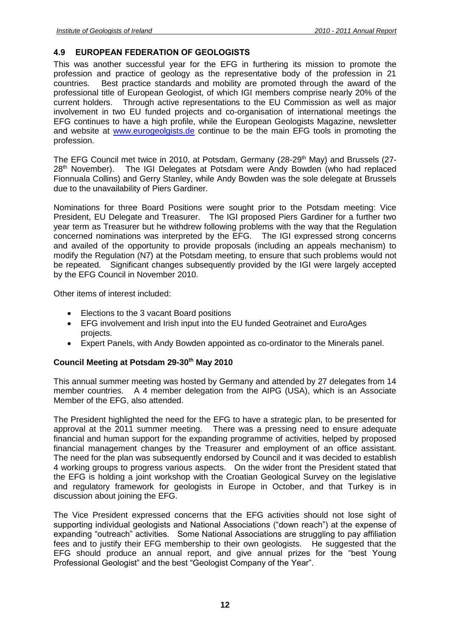#### <span id="page-11-0"></span>**4.9 EUROPEAN FEDERATION OF GEOLOGISTS**

This was another successful year for the EFG in furthering its mission to promote the profession and practice of geology as the representative body of the profession in 21 countries. Best practice standards and mobility are promoted through the award of the professional title of European Geologist, of which IGI members comprise nearly 20% of the current holders. Through active representations to the EU Commission as well as major involvement in two EU funded projects and co-organisation of international meetings the EFG continues to have a high profile, while the European Geologists Magazine, newsletter and website at [www.eurogeolgists.de](http://www.eurogeolgists.de/) continue to be the main EFG tools in promoting the profession.

The EFG Council met twice in 2010, at Potsdam, Germany (28-29<sup>th</sup> May) and Brussels (27-28<sup>th</sup> November). The IGI Delegates at Potsdam were Andy Bowden (who had replaced Fionnuala Collins) and Gerry Stanley, while Andy Bowden was the sole delegate at Brussels due to the unavailability of Piers Gardiner.

Nominations for three Board Positions were sought prior to the Potsdam meeting: Vice President, EU Delegate and Treasurer. The IGI proposed Piers Gardiner for a further two year term as Treasurer but he withdrew following problems with the way that the Regulation concerned nominations was interpreted by the EFG. The IGI expressed strong concerns and availed of the opportunity to provide proposals (including an appeals mechanism) to modify the Regulation (N7) at the Potsdam meeting, to ensure that such problems would not be repeated. Significant changes subsequently provided by the IGI were largely accepted by the EFG Council in November 2010.

Other items of interest included:

- Elections to the 3 vacant Board positions
- EFG involvement and Irish input into the EU funded Geotrainet and EuroAges projects.
- Expert Panels, with Andy Bowden appointed as co-ordinator to the Minerals panel.

#### **Council Meeting at Potsdam 29-30th May 2010**

This annual summer meeting was hosted by Germany and attended by 27 delegates from 14 member countries. A 4 member delegation from the AIPG (USA), which is an Associate Member of the EFG, also attended.

The President highlighted the need for the EFG to have a strategic plan, to be presented for approval at the 2011 summer meeting. There was a pressing need to ensure adequate financial and human support for the expanding programme of activities, helped by proposed financial management changes by the Treasurer and employment of an office assistant. The need for the plan was subsequently endorsed by Council and it was decided to establish 4 working groups to progress various aspects. On the wider front the President stated that the EFG is holding a joint workshop with the Croatian Geological Survey on the legislative and regulatory framework for geologists in Europe in October, and that Turkey is in discussion about joining the EFG.

The Vice President expressed concerns that the EFG activities should not lose sight of supporting individual geologists and National Associations ("down reach") at the expense of expanding "outreach" activities. Some National Associations are struggling to pay affiliation fees and to justify their EFG membership to their own geologists. He suggested that the EFG should produce an annual report, and give annual prizes for the "best Young Professional Geologist" and the best "Geologist Company of the Year".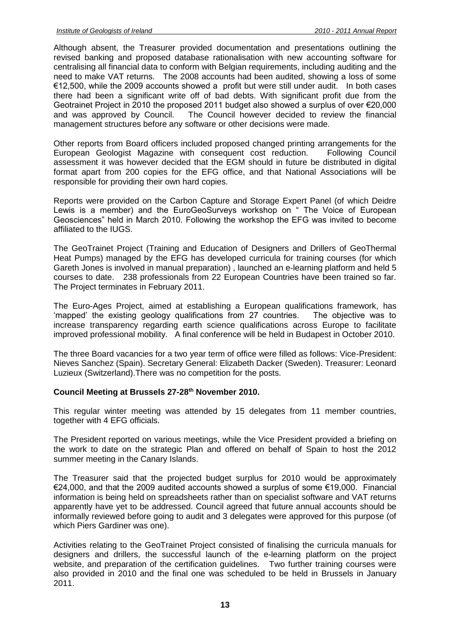Although absent, the Treasurer provided documentation and presentations outlining the revised banking and proposed database rationalisation with new accounting software for centralising all financial data to conform with Belgian requirements, including auditing and the need to make VAT returns. The 2008 accounts had been audited, showing a loss of some €12,500, while the 2009 accounts showed a profit but were still under audit. In both cases there had been a significant write off of bad debts. With significant profit due from the Geotrainet Project in 2010 the proposed 2011 budget also showed a surplus of over €20,000 and was approved by Council. The Council however decided to review the financial management structures before any software or other decisions were made.

Other reports from Board officers included proposed changed printing arrangements for the European Geologist Magazine with consequent cost reduction. Following Council assessment it was however decided that the EGM should in future be distributed in digital format apart from 200 copies for the EFG office, and that National Associations will be responsible for providing their own hard copies.

Reports were provided on the Carbon Capture and Storage Expert Panel (of which Deidre Lewis is a member) and the EuroGeoSurveys workshop on " The Voice of European Geosciences" held in March 2010. Following the workshop the EFG was invited to become affiliated to the IUGS.

The GeoTrainet Project (Training and Education of Designers and Drillers of GeoThermal Heat Pumps) managed by the EFG has developed curricula for training courses (for which Gareth Jones is involved in manual preparation) , launched an e-learning platform and held 5 courses to date. 238 professionals from 22 European Countries have been trained so far. The Project terminates in February 2011.

The Euro-Ages Project, aimed at establishing a European qualifications framework, has 'mapped' the existing geology qualifications from 27 countries. The objective was to increase transparency regarding earth science qualifications across Europe to facilitate improved professional mobility. A final conference will be held in Budapest in October 2010.

The three Board vacancies for a two year term of office were filled as follows: Vice-President: Nieves Sanchez (Spain). Secretary General: Elizabeth Dacker (Sweden). Treasurer: Leonard Luzieux (Switzerland).There was no competition for the posts.

#### **Council Meeting at Brussels 27-28th November 2010.**

This regular winter meeting was attended by 15 delegates from 11 member countries, together with 4 EFG officials.

The President reported on various meetings, while the Vice President provided a briefing on the work to date on the strategic Plan and offered on behalf of Spain to host the 2012 summer meeting in the Canary Islands.

The Treasurer said that the projected budget surplus for 2010 would be approximately €24,000, and that the 2009 audited accounts showed a surplus of some €19,000. Financial information is being held on spreadsheets rather than on specialist software and VAT returns apparently have yet to be addressed. Council agreed that future annual accounts should be informally reviewed before going to audit and 3 delegates were approved for this purpose (of which Piers Gardiner was one).

Activities relating to the GeoTrainet Project consisted of finalising the curricula manuals for designers and drillers, the successful launch of the e-learning platform on the project website, and preparation of the certification guidelines. Two further training courses were also provided in 2010 and the final one was scheduled to be held in Brussels in January 2011.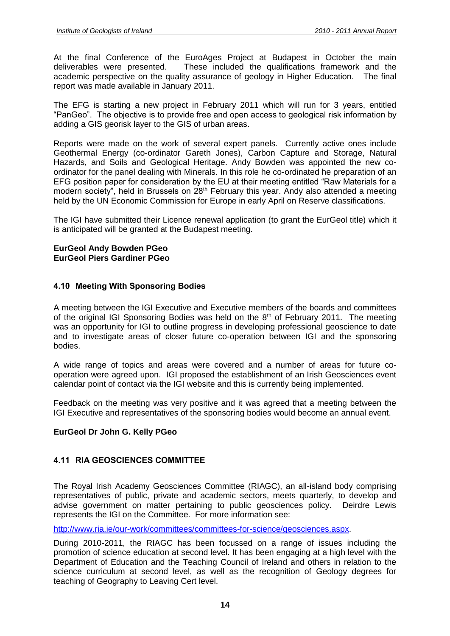At the final Conference of the EuroAges Project at Budapest in October the main deliverables were presented. These included the qualifications framework and the academic perspective on the quality assurance of geology in Higher Education. The final report was made available in January 2011.

The EFG is starting a new project in February 2011 which will run for 3 years, entitled "PanGeo". The objective is to provide free and open access to geological risk information by adding a GIS georisk layer to the GIS of urban areas.

Reports were made on the work of several expert panels. Currently active ones include Geothermal Energy (co-ordinator Gareth Jones), Carbon Capture and Storage, Natural Hazards, and Soils and Geological Heritage. Andy Bowden was appointed the new coordinator for the panel dealing with Minerals. In this role he co-ordinated he preparation of an EFG position paper for consideration by the EU at their meeting entitled "Raw Materials for a modern society", held in Brussels on 28<sup>th</sup> February this year. Andy also attended a meeting held by the UN Economic Commission for Europe in early April on Reserve classifications.

The IGI have submitted their Licence renewal application (to grant the EurGeol title) which it is anticipated will be granted at the Budapest meeting.

#### **EurGeol Andy Bowden PGeo EurGeol Piers Gardiner PGeo**

#### <span id="page-13-0"></span>**4.10 Meeting With Sponsoring Bodies**

A meeting between the IGI Executive and Executive members of the boards and committees of the original IGI Sponsoring Bodies was held on the  $8<sup>th</sup>$  of February 2011. The meeting was an opportunity for IGI to outline progress in developing professional geoscience to date and to investigate areas of closer future co-operation between IGI and the sponsoring bodies.

A wide range of topics and areas were covered and a number of areas for future cooperation were agreed upon. IGI proposed the establishment of an Irish Geosciences event calendar point of contact via the IGI website and this is currently being implemented.

Feedback on the meeting was very positive and it was agreed that a meeting between the IGI Executive and representatives of the sponsoring bodies would become an annual event.

#### **EurGeol Dr John G. Kelly PGeo**

#### <span id="page-13-1"></span>**4.11 RIA GEOSCIENCES COMMITTEE**

The Royal Irish Academy Geosciences Committee (RIAGC), an all-island body comprising representatives of public, private and academic sectors, meets quarterly, to develop and advise government on matter pertaining to public geosciences policy. Deirdre Lewis represents the IGI on the Committee. For more information see:

[http://www.ria.ie/our-work/committees/committees-for-science/geosciences.aspx.](http://www.ria.ie/our-work/committees/committees-for-science/geosciences.aspx)

During 2010-2011, the RIAGC has been focussed on a range of issues including the promotion of science education at second level. It has been engaging at a high level with the Department of Education and the Teaching Council of Ireland and others in relation to the science curriculum at second level, as well as the recognition of Geology degrees for teaching of Geography to Leaving Cert level.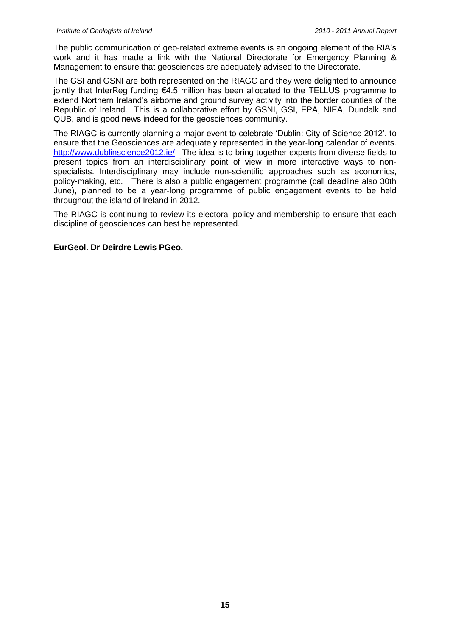The public communication of geo-related extreme events is an ongoing element of the RIA's work and it has made a link with the National Directorate for Emergency Planning & Management to ensure that geosciences are adequately advised to the Directorate.

The GSI and GSNI are both represented on the RIAGC and they were delighted to announce jointly that InterReg funding €4.5 million has been allocated to the TELLUS programme to extend Northern Ireland's airborne and ground survey activity into the border counties of the Republic of Ireland. This is a collaborative effort by GSNI, GSI, EPA, NIEA, Dundalk and QUB, and is good news indeed for the geosciences community.

The RIAGC is currently planning a major event to celebrate 'Dublin: City of Science 2012', to ensure that the Geosciences are adequately represented in the year-long calendar of events. [http://www.dublinscience2012.ie/.](http://www.dublinscience2012.ie/) The idea is to bring together experts from diverse fields to present topics from an interdisciplinary point of view in more interactive ways to nonspecialists. Interdisciplinary may include non-scientific approaches such as economics, policy-making, etc. There is also a public engagement programme (call deadline also 30th June), planned to be a year-long programme of public engagement events to be held throughout the island of Ireland in 2012.

The RIAGC is continuing to review its electoral policy and membership to ensure that each discipline of geosciences can best be represented.

#### **EurGeol. Dr Deirdre Lewis PGeo.**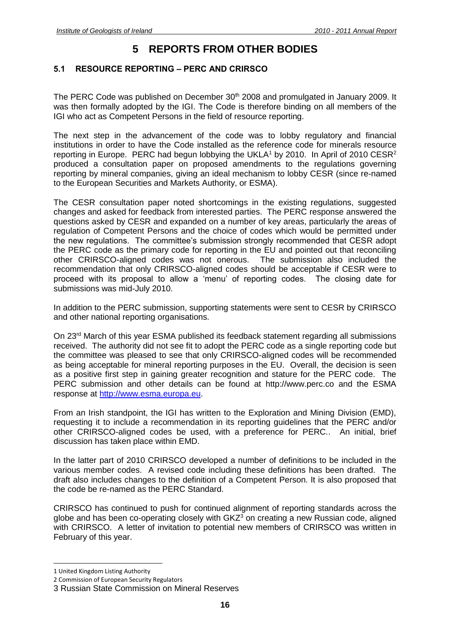## **5 REPORTS FROM OTHER BODIES**

#### <span id="page-15-1"></span><span id="page-15-0"></span>**5.1 RESOURCE REPORTING – PERC AND CRIRSCO**

The PERC Code was published on December 30<sup>th</sup> 2008 and promulgated in January 2009. It was then formally adopted by the IGI. The Code is therefore binding on all members of the IGI who act as Competent Persons in the field of resource reporting.

The next step in the advancement of the code was to lobby regulatory and financial institutions in order to have the Code installed as the reference code for minerals resource reporting in Europe. PERC had begun lobbying the UKLA<sup>1</sup> by 2010. In April of 2010 CESR<sup>2</sup> produced a consultation paper on proposed amendments to the regulations governing reporting by mineral companies, giving an ideal mechanism to lobby CESR (since re-named to the European Securities and Markets Authority, or ESMA).

The CESR consultation paper noted shortcomings in the existing regulations, suggested changes and asked for feedback from interested parties. The PERC response answered the questions asked by CESR and expanded on a number of key areas, particularly the areas of regulation of Competent Persons and the choice of codes which would be permitted under the new regulations. The committee's submission strongly recommended that CESR adopt the PERC code as the primary code for reporting in the EU and pointed out that reconciling other CRIRSCO-aligned codes was not onerous. The submission also included the recommendation that only CRIRSCO-aligned codes should be acceptable if CESR were to proceed with its proposal to allow a 'menu' of reporting codes. The closing date for submissions was mid-July 2010.

In addition to the PERC submission, supporting statements were sent to CESR by CRIRSCO and other national reporting organisations.

On 23rd March of this year ESMA published its feedback statement regarding all submissions received. The authority did not see fit to adopt the PERC code as a single reporting code but the committee was pleased to see that only CRIRSCO-aligned codes will be recommended as being acceptable for mineral reporting purposes in the EU. Overall, the decision is seen as a positive first step in gaining greater recognition and stature for the PERC code. The PERC submission and other details can be found at http://www.perc.co and the ESMA response at [http://www.esma.europa.eu.](http://www.esma.europa.eu/)

From an Irish standpoint, the IGI has written to the Exploration and Mining Division (EMD), requesting it to include a recommendation in its reporting guidelines that the PERC and/or other CRIRSCO-aligned codes be used, with a preference for PERC.. An initial, brief discussion has taken place within EMD.

In the latter part of 2010 CRIRSCO developed a number of definitions to be included in the various member codes. A revised code including these definitions has been drafted. The draft also includes changes to the definition of a Competent Person. It is also proposed that the code be re-named as the PERC Standard.

CRIRSCO has continued to push for continued alignment of reporting standards across the globe and has been co-operating closely with  $GKZ<sup>3</sup>$  on creating a new Russian code, aligned with CRIRSCO. A letter of invitation to potential new members of CRIRSCO was written in February of this year.

 $\overline{a}$ 

<sup>1</sup> United Kingdom Listing Authority

<sup>2</sup> Commission of European Security Regulators

<sup>3</sup> Russian State Commission on Mineral Reserves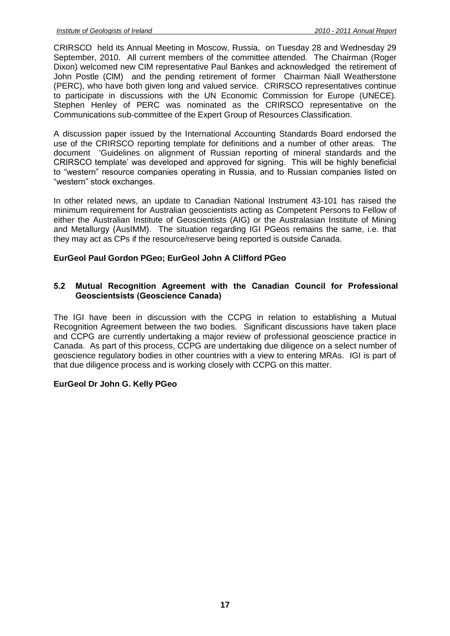CRIRSCO held its Annual Meeting in Moscow, Russia, on Tuesday 28 and Wednesday 29 September, 2010. All current members of the committee attended. The Chairman (Roger Dixon) welcomed new CIM representative Paul Bankes and acknowledged the retirement of John Postle (ClM) and the pending retirement of former Chairman Niall Weatherstone (PERC), who have both given long and valued service. CRIRSCO representatives continue to participate in discussions with the UN Economic Commission for Europe (UNECE). Stephen Henley of PERC was nominated as the CRIRSCO representative on the Communications sub-committee of the Expert Group of Resources Classification.

A discussion paper issued by the International Accounting Standards Board endorsed the use of the CRIRSCO reporting template for definitions and a number of other areas. The document 'Guidelines on alignment of Russian reporting of mineral standards and the CRIRSCO template' was developed and approved for signing. This will be highly beneficial to "western" resource companies operating in Russia, and to Russian companies listed on "western" stock exchanges.

In other related news, an update to Canadian National Instrument 43-101 has raised the minimum requirement for Australian geoscientists acting as Competent Persons to Fellow of either the Australian Institute of Geoscientists (AIG) or the Australasian Institute of Mining and Metallurgy (AusIMM). The situation regarding IGI PGeos remains the same, i.e. that they may act as CPs if the resource/reserve being reported is outside Canada.

#### **EurGeol Paul Gordon PGeo; EurGeol John A Clifford PGeo**

#### <span id="page-16-0"></span>**5.2 Mutual Recognition Agreement with the Canadian Council for Professional Geoscientsists (Geoscience Canada)**

The IGI have been in discussion with the CCPG in relation to establishing a Mutual Recognition Agreement between the two bodies. Significant discussions have taken place and CCPG are currently undertaking a major review of professional geoscience practice in Canada. As part of this process, CCPG are undertaking due diligence on a select number of geoscience regulatory bodies in other countries with a view to entering MRAs. IGI is part of that due diligence process and is working closely with CCPG on this matter.

#### **EurGeol Dr John G. Kelly PGeo**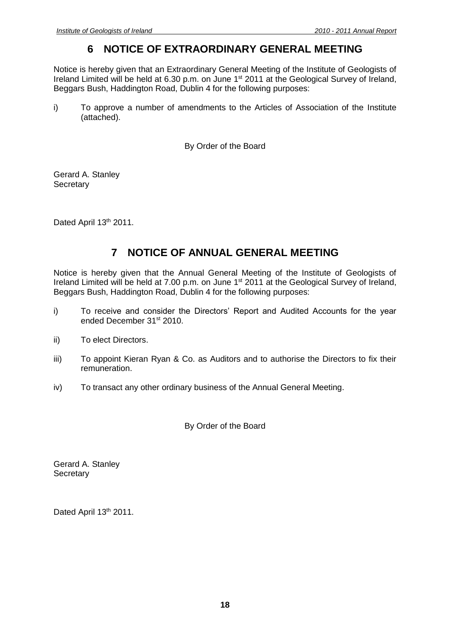## **6 NOTICE OF EXTRAORDINARY GENERAL MEETING**

<span id="page-17-0"></span>Notice is hereby given that an Extraordinary General Meeting of the Institute of Geologists of Ireland Limited will be held at 6.30 p.m. on June 1st 2011 at the Geological Survey of Ireland, Beggars Bush, Haddington Road, Dublin 4 for the following purposes:

i) To approve a number of amendments to the Articles of Association of the Institute (attached).

By Order of the Board

Gerard A. Stanley **Secretary** 

Dated April 13th 2011.

## **7 NOTICE OF ANNUAL GENERAL MEETING**

<span id="page-17-1"></span>Notice is hereby given that the Annual General Meeting of the Institute of Geologists of Ireland Limited will be held at 7.00 p.m. on June 1<sup>st</sup> 2011 at the Geological Survey of Ireland, Beggars Bush, Haddington Road, Dublin 4 for the following purposes:

- i) To receive and consider the Directors' Report and Audited Accounts for the year ended December 31st 2010.
- ii) To elect Directors.
- iii) To appoint Kieran Ryan & Co. as Auditors and to authorise the Directors to fix their remuneration.
- iv) To transact any other ordinary business of the Annual General Meeting.

By Order of the Board

Gerard A. Stanley **Secretary** 

Dated April 13th 2011.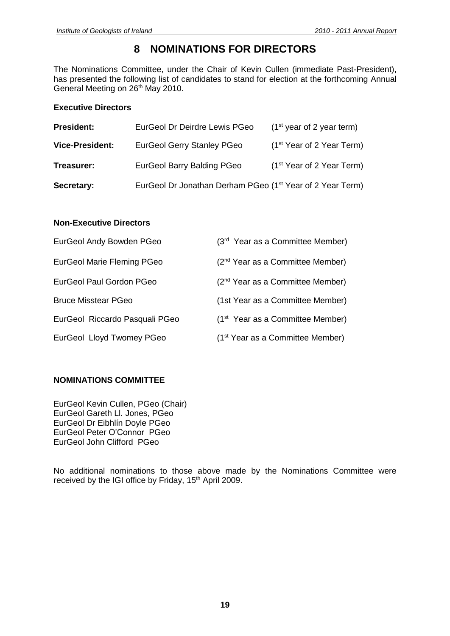## **8 NOMINATIONS FOR DIRECTORS**

<span id="page-18-0"></span>The Nominations Committee, under the Chair of Kevin Cullen (immediate Past-President), has presented the following list of candidates to stand for election at the forthcoming Annual General Meeting on 26<sup>th</sup> May 2010.

#### **Executive Directors**

| <b>President:</b>      | EurGeol Dr Deirdre Lewis PGeo                                         | $(1st$ year of 2 year term)           |
|------------------------|-----------------------------------------------------------------------|---------------------------------------|
| <b>Vice-President:</b> | <b>EurGeol Gerry Stanley PGeo</b>                                     | (1 <sup>st</sup> Year of 2 Year Term) |
| Treasurer:             | <b>EurGeol Barry Balding PGeo</b>                                     | (1 <sup>st</sup> Year of 2 Year Term) |
| Secretary:             | EurGeol Dr Jonathan Derham PGeo (1 <sup>st</sup> Year of 2 Year Term) |                                       |

#### **Non-Executive Directors**

| EurGeol Andy Bowden PGeo          | (3rd Year as a Committee Member)             |
|-----------------------------------|----------------------------------------------|
| <b>EurGeol Marie Fleming PGeo</b> | (2 <sup>nd</sup> Year as a Committee Member) |
| EurGeol Paul Gordon PGeo          | (2 <sup>nd</sup> Year as a Committee Member) |
| <b>Bruce Misstear PGeo</b>        | (1st Year as a Committee Member)             |
| EurGeol Riccardo Pasquali PGeo    | (1 <sup>st</sup> Year as a Committee Member) |
| EurGeol Lloyd Twomey PGeo         | (1 <sup>st</sup> Year as a Committee Member) |

#### **NOMINATIONS COMMITTEE**

EurGeol Kevin Cullen, PGeo (Chair) EurGeol Gareth Ll. Jones, PGeo EurGeol Dr Eibhlín Doyle PGeo EurGeol Peter O'Connor PGeo EurGeol John Clifford PGeo

No additional nominations to those above made by the Nominations Committee were received by the IGI office by Friday, 15<sup>th</sup> April 2009.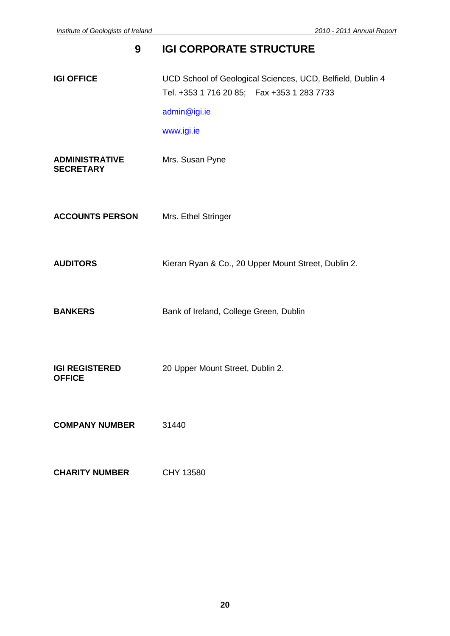# <span id="page-19-0"></span>**9 IGI CORPORATE STRUCTURE IGI OFFICE** UCD School of Geological Sciences, UCD, Belfield, Dublin 4 Tel. +353 1 716 20 85; Fax +353 1 283 7733 [admin@igi.ie](mailto:admin@igi.ie) [www.igi.ie](http://www.igi.ie/) **ADMINISTRATIVE** Mrs. Susan Pyne **SECRETARY ACCOUNTS PERSON** Mrs. Ethel Stringer **AUDITORS** Kieran Ryan & Co., 20 Upper Mount Street, Dublin 2. **BANKERS** Bank of Ireland, College Green, Dublin **IGI REGISTERED** 20 Upper Mount Street, Dublin 2. **OFFICE COMPANY NUMBER** 31440

**CHARITY NUMBER** CHY 13580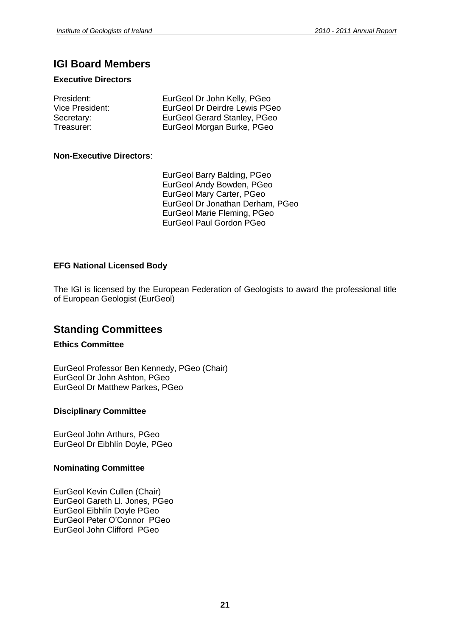## **IGI Board Members**

#### **Executive Directors**

| President:      | EurGeol Dr John Kelly, PGeo   |
|-----------------|-------------------------------|
| Vice President: | EurGeol Dr Deirdre Lewis PGeo |
| Secretary:      | EurGeol Gerard Stanley, PGeo  |
| Treasurer:      | EurGeol Morgan Burke, PGeo    |

#### **Non-Executive Directors**:

EurGeol Barry Balding, PGeo EurGeol Andy Bowden, PGeo EurGeol Mary Carter, PGeo EurGeol Dr Jonathan Derham, PGeo EurGeol Marie Fleming, PGeo EurGeol Paul Gordon PGeo

#### **EFG National Licensed Body**

The IGI is licensed by the European Federation of Geologists to award the professional title of European Geologist (EurGeol)

### **Standing Committees**

#### **Ethics Committee**

EurGeol Professor Ben Kennedy, PGeo (Chair) EurGeol Dr John Ashton, PGeo EurGeol Dr Matthew Parkes, PGeo

#### **Disciplinary Committee**

EurGeol John Arthurs, PGeo EurGeol Dr Eibhlín Doyle, PGeo

#### **Nominating Committee**

EurGeol Kevin Cullen (Chair) EurGeol Gareth Ll. Jones, PGeo EurGeol Eibhlín Doyle PGeo EurGeol Peter O'Connor PGeo EurGeol John Clifford PGeo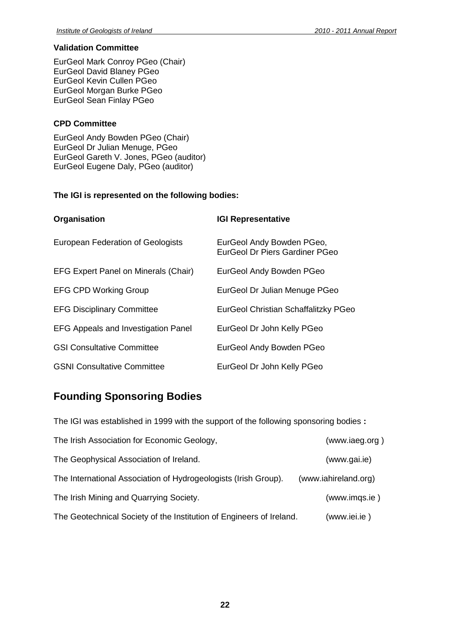#### **Validation Committee**

EurGeol Mark Conroy PGeo (Chair) EurGeol David Blaney PGeo EurGeol Kevin Cullen PGeo EurGeol Morgan Burke PGeo EurGeol Sean Finlay PGeo

#### **CPD Committee**

EurGeol Andy Bowden PGeo (Chair) EurGeol Dr Julian Menuge, PGeo EurGeol Gareth V. Jones, PGeo (auditor) EurGeol Eugene Daly, PGeo (auditor)

#### **The IGI is represented on the following bodies:**

| Organisation                                | <b>IGI Representative</b>                                          |  |
|---------------------------------------------|--------------------------------------------------------------------|--|
| European Federation of Geologists           | EurGeol Andy Bowden PGeo,<br><b>EurGeol Dr Piers Gardiner PGeo</b> |  |
| <b>EFG Expert Panel on Minerals (Chair)</b> | EurGeol Andy Bowden PGeo                                           |  |
| <b>EFG CPD Working Group</b>                | EurGeol Dr Julian Menuge PGeo                                      |  |
| <b>EFG Disciplinary Committee</b>           | EurGeol Christian Schaffalitzky PGeo                               |  |
| <b>EFG Appeals and Investigation Panel</b>  | EurGeol Dr John Kelly PGeo                                         |  |
| <b>GSI Consultative Committee</b>           | EurGeol Andy Bowden PGeo                                           |  |
| <b>GSNI Consultative Committee</b>          | EurGeol Dr John Kelly PGeo                                         |  |

## **Founding Sponsoring Bodies**

The IGI was established in 1999 with the support of the following sponsoring bodies **:**

| The Irish Association for Economic Geology,                          | (www.iaeg.org)       |
|----------------------------------------------------------------------|----------------------|
| The Geophysical Association of Ireland.                              | (www.gai.ie)         |
| The International Association of Hydrogeologists (Irish Group).      | (www.iahireland.org) |
| The Irish Mining and Quarrying Society.                              | (www.imgs.ie)        |
| The Geotechnical Society of the Institution of Engineers of Ireland. | (www.iei.ie)         |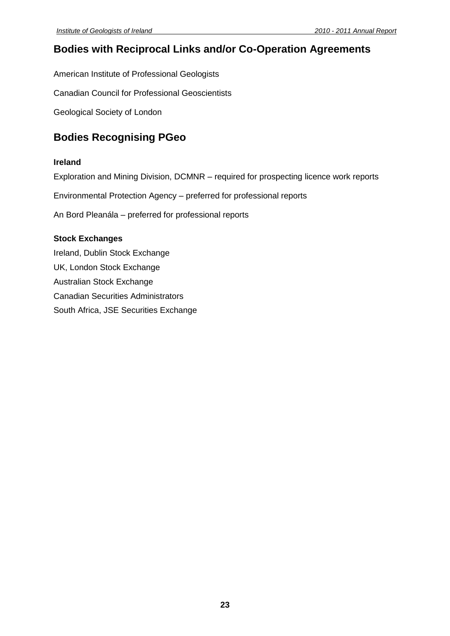## **Bodies with Reciprocal Links and/or Co-Operation Agreements**

American Institute of Professional Geologists

Canadian Council for Professional Geoscientists

Geological Society of London

## **Bodies Recognising PGeo**

#### **Ireland**

Exploration and Mining Division, DCMNR – required for prospecting licence work reports

Environmental Protection Agency – preferred for professional reports

An Bord Pleanála – preferred for professional reports

#### **Stock Exchanges**

Ireland, Dublin Stock Exchange UK, London Stock Exchange Australian Stock Exchange Canadian Securities Administrators South Africa, JSE Securities Exchange